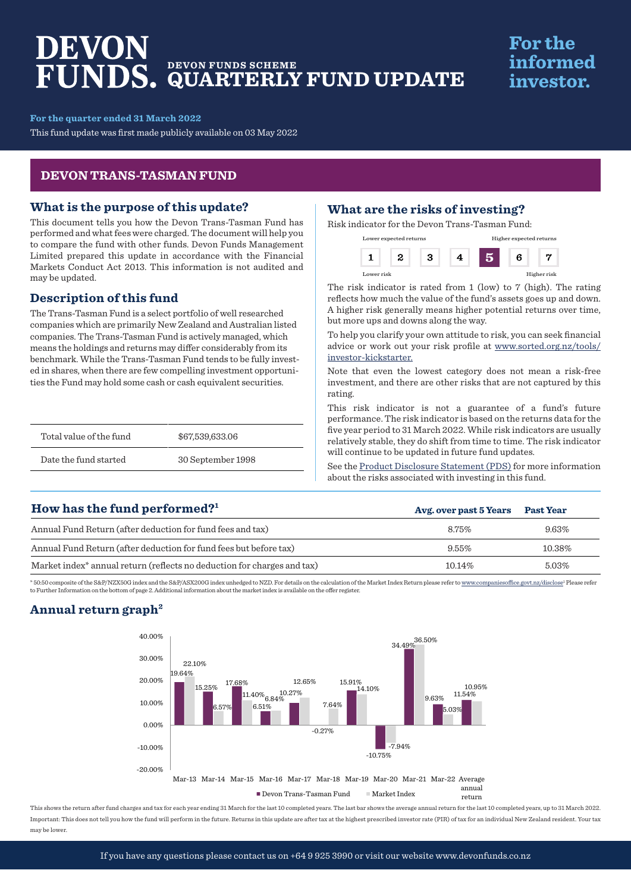# DEVON **DEVON FUNDS SCHEME QUARTERLY FUND UPDATE**

## **For the** informed investor.

**For the quarter ended 31 March 2022**

This fund update was first made publicly available on 03 May 2022

#### **DEVON TRANS-TASMAN FUND**

#### **What is the purpose of this update?**

This document tells you how the Devon Trans-Tasman Fund has performed and what fees were charged. The document will help you to compare the fund with other funds. Devon Funds Management Limited prepared this update in accordance with the Financial Markets Conduct Act 2013. This information is not audited and may be updated.

#### **Description of this fund**

The Trans-Tasman Fund is a select portfolio of well researched companies which are primarily New Zealand and Australian listed companies. The Trans-Tasman Fund is actively managed, which means the holdings and returns may differ considerably from its benchmark. While the Trans-Tasman Fund tends to be fully invested in shares, when there are few compelling investment opportunities the Fund may hold some cash or cash equivalent securities.

| Total value of the fund | \$67,539,633,06   |
|-------------------------|-------------------|
| Date the fund started   | 30 September 1998 |

### **What are the risks of investing?**

Risk indicator for the Devon Trans-Tasman Fund:

| Lower expected returns |  |  | Higher expected returns |   |             |
|------------------------|--|--|-------------------------|---|-------------|
|                        |  |  |                         | 6 |             |
| Lower risk             |  |  |                         |   | Higher risk |

The risk indicator is rated from 1 (low) to 7 (high). The rating reflects how much the value of the fund's assets goes up and down. A higher risk generally means higher potential returns over time, but more ups and downs along the way.

To help you clarify your own attitude to risk, you can seek financial advice or work out your risk profile at [www.sorted.org.nz/tools/](http://www.sorted.org.nz/tools/investor-kickstarter) [investor-kickstarter.](http://www.sorted.org.nz/tools/investor-kickstarter)

Note that even the lowest category does not mean a risk-free investment, and there are other risks that are not captured by this rating.

This risk indicator is not a guarantee of a fund's future performance. The risk indicator is based on the returns data for the five year period to 31 March 2022. While risk indicators are usually relatively stable, they do shift from time to time. The risk indicator will continue to be updated in future fund updates.

See the [Product Disclosure Statement \(PDS\)](https://devonfunds.co.nz/sites/default/files/Devon%20Investment%20Funds%20Product%20Disclosure%20Statement.pdf) for more information about the risks associated with investing in this fund.

## **Avg. over past 5 Years Past Year** Annual Fund Return (after deduction for fund fees and tax) 8.75% 8.75% 8.75% 9.63% Annual Fund Return (after deduction for fund fees but before tax) 8.55% 10.38% 10.38% 10.38% Market index<sup>\*</sup> annual return (reflects no deduction for charges and tax) 10.14% 5.03% **How has the fund performed?1**

\* 50:50 composite of the S&P/NZX50G index and the S&P/ASX200G index unhedged to NZD. For details on the calculation of the Market Index Return please refer to www.c vt.nz/disclose<sup>1</sup> Please refer to Further Information on the bottom of page 2. Additional information about the market index is available on the offer register.

### **Annual return graph2**



This shows the return after fund charges and tax for each year ending 31 March for the last 10 completed years. The last bar shows the average annual return for the last 10 completed years, up to 31 March 2022. Important: This does not tell you how the fund will perform in the future. Returns in this update are after tax at the highest prescribed investor rate (PIR) of tax for an individual New Zealand resident. Your tax may be lower.